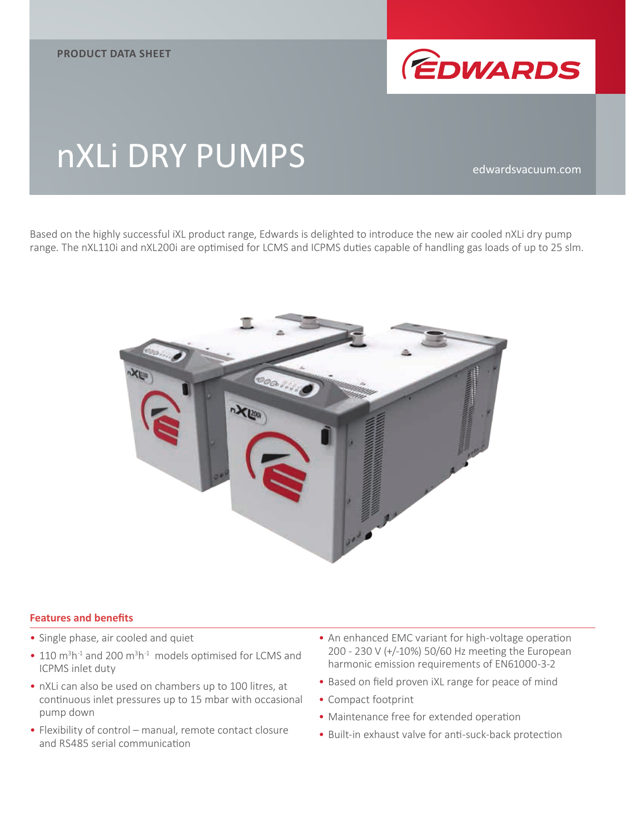

# nXLi DRY PUMPS

Based on the highly successful iXL product range, Edwards is delighted to introduce the new air cooled nXLi dry pump range. The nXL110i and nXL200i are optimised for LCMS and ICPMS duties capable of handling gas loads of up to 25 slm.



#### **Features and benefits**

- Single phase, air cooled and quiet
- $\bullet$  110 m<sup>3</sup>h<sup>-1</sup> and 200 m<sup>3</sup>h<sup>-1</sup> models optimised for LCMS and ICPMS inlet duty
- nXLi can also be used on chambers up to 100 litres, at continuous inlet pressures up to 15 mbar with occasional pump down
- Flexibility of control manual, remote contact closure and RS485 serial communication
- An enhanced EMC variant for high-voltage operation 200 - 230 V (+/-10%) 50/60 Hz meeting the European harmonic emission requirements of EN61000-3-2
- Based on field proven iXL range for peace of mind
- Compact footprint
- Maintenance free for extended operation
- Built-in exhaust valve for anti-suck-back protection